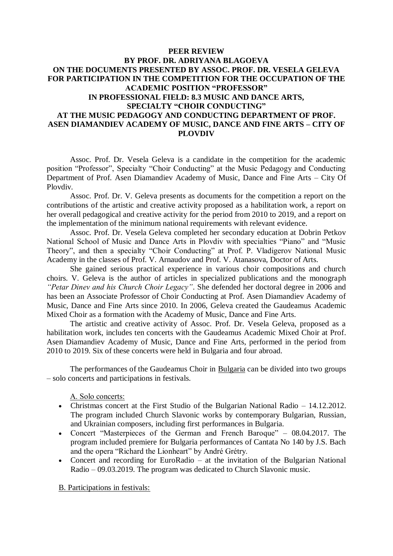## **PEER REVIEW BY PROF. DR. ADRIYANA BLAGOEVA ON THE DOCUMENTS PRESENTED BY ASSOC. PROF. DR. VESELA GELEVA FOR PARTICIPATION IN THE COMPETITION FOR THE OCCUPATION OF THE ACADEMIC POSITION "PROFESSOR" IN PROFESSIONAL FIELD: 8.3 MUSIC AND DANCE ARTS, SPECIALTY "CHOIR CONDUCTING" AT THE MUSIC PEDAGOGY AND CONDUCTING DEPARTMENT OF PROF. ASEN DIAMANDIEV ACADEMY OF MUSIC, DANCE AND FINE ARTS – CITY OF PLOVDIV**

Assoc. Prof. Dr. Vesela Geleva is a candidate in the competition for the academic position "Professor", Specialty "Choir Conducting" at the Music Pedagogy and Conducting Department of Prof. Asen Diamandiev Academy of Music, Dance and Fine Arts – City Of Plovdiv.

Assoc. Prof. Dr. V. Geleva presents as documents for the competition a report on the contributions of the artistic and creative activity proposed as a habilitation work, a report on her overall pedagogical and creative activity for the period from 2010 to 2019, and a report on the implementation of the minimum national requirements with relevant evidence.

Assoc. Prof. Dr. Vesela Geleva completed her secondary education at Dobrin Petkov National School of Music and Dance Arts in Plovdiv with specialties "Piano" and "Music Theory", and then a specialty "Choir Conducting" at Prof. P. Vladigerov National Music Academy in the classes of Prof. V. Arnaudov and Prof. V. Atanasova, Doctor of Arts.

She gained serious practical experience in various choir compositions and church choirs. V. Geleva is the author of articles in specialized publications and the monograph *"Petar Dinev and his Church Choir Legacy"*. She defended her doctoral degree in 2006 and has been an Associate Professor of Choir Conducting at Prof. Asen Diamandiev Academy of Music, Dance and Fine Arts since 2010. In 2006, Geleva created the Gaudeamus Academic Mixed Choir as a formation with the Academy of Music, Dance and Fine Arts.

The artistic and creative activity of Assoc. Prof. Dr. Vesela Geleva, proposed as a habilitation work, includes ten concerts with the Gaudeamus Academic Mixed Choir at Prof. Asen Diamandiev Academy of Music, Dance and Fine Arts, performed in the period from 2010 to 2019. Six of these concerts were held in Bulgaria and four abroad.

The performances of the Gaudeamus Choir in Bulgaria can be divided into two groups – solo concerts and participations in festivals.

А. Solo concerts:

- Christmas concert at the First Studio of the Bulgarian National Radio 14.12.2012. The program included Church Slavonic works by contemporary Bulgarian, Russian, and Ukrainian composers, including first performances in Bulgaria.
- Concert "Masterpieces of the German and French Baroque" 08.04.2017. The program included premiere for Bulgaria performances of Cantata No 140 by J.S. Bach and the opera "Richard the Lionheart" by André Grétry.
- Concert and recording for EuroRadio at the invitation of the Bulgarian National Radio – 09.03.2019. The program was dedicated to Church Slavonic music.

B. Participations in festivals: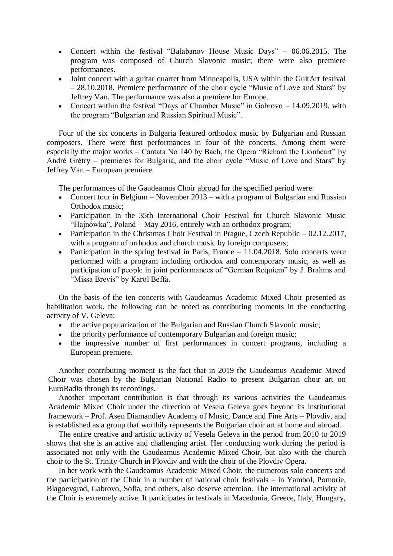- Concert within the festival "Balabanov House Music Days" 06.06.2015. The program was composed of Church Slavonic music; there were also premiere performances.
- Joint concert with a guitar quartet from Minneapolis, USA within the GuitArt festival – 28.10.2018. Premiere performance of the choir cycle "Music of Love and Stars" by Jeffrey Van. The performance was also a premiere for Europe.
- Concert within the festival "Days of Chamber Music" in Gabrovo 14.09.2019, with the program "Bulgarian and Russian Spiritual Music".

Four of the six concerts in Bulgaria featured orthodox music by Bulgarian and Russian composers. There were first performances in four of the concerts. Among them were especially the major works – Cantata No 140 by Bach, the Opera "Richard the Lionheart" by André Grétry – premieres for Bulgaria, and the choir cycle "Music of Love and Stars" by Jeffrey Van – European premiere.

The performances of the Gaudeamus Choir abroad for the specified period were:

- Concert tour in Belgium November 2013 with a program of Bulgarian and Russian Orthodox music;
- Participation in the 35th International Choir Festival for Church Slavonic Music "Hajnówka", Poland – May 2016, entirely with an orthodox program;
- Participation in the Christmas Choir Festival in Prague, Czech Republic 02.12.2017, with a program of orthodox and church music by foreign composers;
- Participation in the spring festival in Paris, France  $-11.04.2018$ . Solo concerts were performed with a program including orthodox and contemporary music, as well as participation of people in joint performances of "German Requiem" by J. Brahms and "Missa Brevis" by Karol Beffa.

On the basis of the ten concerts with Gaudeamus Academic Mixed Choir presented as habilitation work, the following can be noted as contributing moments in the conducting activity of V. Geleva:

- the active popularization of the Bulgarian and Russian Church Slavonic music;
- the priority performance of contemporary Bulgarian and foreign music;
- the impressive number of first performances in concert programs, including a European premiere.

Another contributing moment is the fact that in 2019 the Gaudeamus Academic Mixed Choir was chosen by the Bulgarian National Radio to present Bulgarian choir art on EuroRadio through its recordings.

Another important contribution is that through its various activities the Gaudeamus Academic Mixed Choir under the direction of Vesela Geleva goes beyond its institutional framework – Prof. Asen Diamandiev Academy of Music, Dance and Fine Arts – Plovdiv, and is established as a group that worthily represents the Bulgarian choir art at home and abroad.

The entire creative and artistic activity of Vesela Geleva in the period from 2010 to 2019 shows that she is an active and challenging artist. Her conducting work during the period is associated not only with the Gaudeamus Academic Mixed Choir, but also with the church choir to the St. Trinity Church in Plovdiv and with the choir of the Plovdiv Opera.

In her work with the Gaudeamus Academic Mixed Choir, the numerous solo concerts and the participation of the Choir in a number of national choir festivals – in Yambol, Pomorie, Blagoevgrad, Gabrovo, Sofia, and others, also deserve attention. The international activity of the Choir is extremely active. It participates in festivals in Macedonia, Greece, Italy, Hungary,